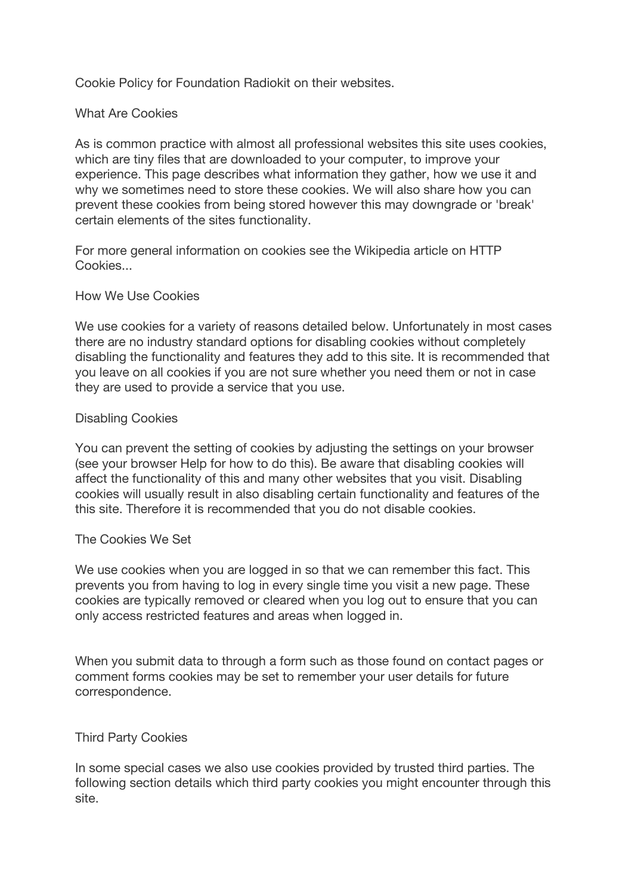Cookie Policy for Foundation Radiokit on their websites.

# What Are Cookies

As is common practice with almost all professional websites this site uses cookies, which are tiny files that are downloaded to your computer, to improve your experience. This page describes what information they gather, how we use it and why we sometimes need to store these cookies. We will also share how you can prevent these cookies from being stored however this may downgrade or 'break' certain elements of the sites functionality.

For more general information on cookies see the Wikipedia article on HTTP Cookies...

# How We Use Cookies

We use cookies for a variety of reasons detailed below. Unfortunately in most cases there are no industry standard options for disabling cookies without completely disabling the functionality and features they add to this site. It is recommended that you leave on all cookies if you are not sure whether you need them or not in case they are used to provide a service that you use.

## Disabling Cookies

You can prevent the setting of cookies by adjusting the settings on your browser (see your browser Help for how to do this). Be aware that disabling cookies will affect the functionality of this and many other websites that you visit. Disabling cookies will usually result in also disabling certain functionality and features of the this site. Therefore it is recommended that you do not disable cookies.

# The Cookies We Set

We use cookies when you are logged in so that we can remember this fact. This prevents you from having to log in every single time you visit a new page. These cookies are typically removed or cleared when you log out to ensure that you can only access restricted features and areas when logged in.

When you submit data to through a form such as those found on contact pages or comment forms cookies may be set to remember your user details for future correspondence.

# Third Party Cookies

In some special cases we also use cookies provided by trusted third parties. The following section details which third party cookies you might encounter through this site.